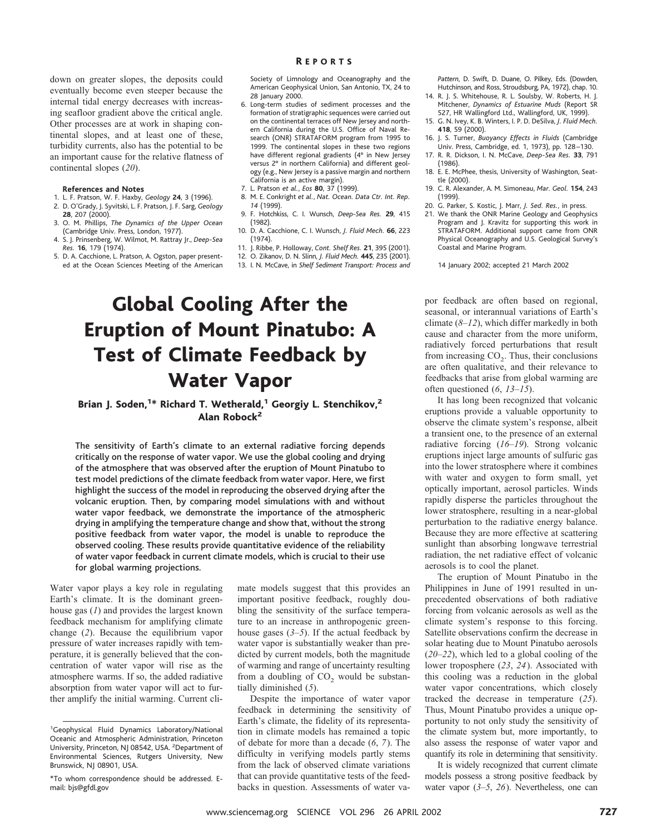down on greater slopes, the deposits could eventually become even steeper because the internal tidal energy decreases with increasing seafloor gradient above the critical angle. Other processes are at work in shaping continental slopes, and at least one of these, turbidity currents, also has the potential to be an important cause for the relative flatness of continental slopes (*20*).

#### **References and Notes**

- 1. L. F. Pratson, W. F. Haxby, *Geology* **24**, 3 (1996).
- 2. D. O'Grady, J. Syvitski, L. F. Pratson, J. F. Sarg, *Geology* **28**, 207 (2000).
- 3. O. M. Phillips, *The Dynamics of the Upper Ocean* (Cambridge Univ. Press, London, 1977).
- 4. S. J. Prinsenberg, W. Wilmot, M. Rattray Jr., *Deep-Sea Res.* **16**, 179 (1974).
- 5. D. A. Cacchione, L. Pratson, A. Ogston, paper presented at the Ocean Sciences Meeting of the American

#### R EPORTS

Society of Limnology and Oceanography and the American Geophysical Union, San Antonio, TX, 24 to 28 January 2000.

- 6. Long-term studies of sediment processes and the formation of stratigraphic sequences were carried out on the continental terraces off New Jersey and northern California during the U.S. Office of Naval Research (ONR) STRATAFORM program from 1995 to 1999. The continental slopes in these two regions have different regional gradients (4° in New Jersey versus 2° in northern California) and different geology (e.g., New Jersey is a passive margin and northern California is an active margin).
- 7. L. Pratson *et al.*, *Eos* **80**, 37 (1999).
- 8. M. E. Conkright *et al.*, *Nat. Ocean. Data Ctr. Int. Rep. 14* (1999).
- 9. F. Hotchkiss, C. I. Wunsch, *Deep-Sea Res.* **29**, 415 (1982).
- 10. D. A. Cacchione, C. I. Wunsch, *J. Fluid Mech.* **66**, 223 (1974).
- 11. J. Ribbe, P. Holloway, *Cont. Shelf Res.* **21**, 395 (2001).
- 12. O. Zikanov, D. N. Slinn, *J. Fluid Mech.* **445**, 235 (2001).
- 13. I. N. McCave, in *Shelf Sediment Transport: Process and*

## Global Cooling After the Eruption of Mount Pinatubo: A Test of Climate Feedback by Water Vapor

## Brian J. Soden,<sup>1</sup>\* Richard T. Wetherald,<sup>1</sup> Georgiy L. Stenchikov,<sup>2</sup> Alan Robock<sup>2</sup>

The sensitivity of Earth's climate to an external radiative forcing depends critically on the response of water vapor. We use the global cooling and drying of the atmosphere that was observed after the eruption of Mount Pinatubo to test model predictions of the climate feedback from water vapor. Here, we first highlight the success of the model in reproducing the observed drying after the volcanic eruption. Then, by comparing model simulations with and without water vapor feedback, we demonstrate the importance of the atmospheric drying in amplifying the temperature change and show that, without the strong positive feedback from water vapor, the model is unable to reproduce the observed cooling. These results provide quantitative evidence of the reliability of water vapor feedback in current climate models, which is crucial to their use for global warming projections.

Water vapor plays a key role in regulating Earth's climate. It is the dominant greenhouse gas (*1*) and provides the largest known feedback mechanism for amplifying climate change (*2*). Because the equilibrium vapor pressure of water increases rapidly with temperature, it is generally believed that the concentration of water vapor will rise as the atmosphere warms. If so, the added radiative absorption from water vapor will act to further amplify the initial warming. Current cli-

mate models suggest that this provides an important positive feedback, roughly doubling the sensitivity of the surface temperature to an increase in anthropogenic greenhouse gases  $(3-5)$ . If the actual feedback by water vapor is substantially weaker than predicted by current models, both the magnitude of warming and range of uncertainty resulting from a doubling of  $CO<sub>2</sub>$  would be substantially diminished (*5*).

Despite the importance of water vapor feedback in determining the sensitivity of Earth's climate, the fidelity of its representation in climate models has remained a topic of debate for more than a decade (*6*, *7*). The difficulty in verifying models partly stems from the lack of observed climate variations that can provide quantitative tests of the feedbacks in question. Assessments of water va*Pattern*, D. Swift, D. Duane, O. Pilkey, Eds. (Dowden, Hutchinson, and Ross, Stroudsburg, PA, 1972), chap. 10.

- 14. R. J. S. Whitehouse, R. L. Soulsby, W. Roberts, H. J. Mitchener, *Dynamics of Estuarine Muds* (Report SR 527, HR Wallingford Ltd., Wallingford, UK, 1999).
- 15. G. N. Ivey, K. B. Winters, I. P. D. DeSilva, *J. Fluid Mech.* **418**, 59 (2000).
- 16. J. S. Turner, *Buoyancy Effects in Fluids* (Cambridge Univ. Press, Cambridge, ed. 1, 1973), pp. 128–130.
- 17. R. R. Dickson, I. N. McCave, *Deep-Sea Res.* **33**, 791 (1986).
- 18. E. E. McPhee, thesis, University of Washington, Seattle (2000).
- 19. C. R. Alexander, A. M. Simoneau, *Mar. Geol.* **154**, 243 (1999).
- 20. G. Parker, S. Kostic, J. Marr, *J. Sed. Res.*, in press.
- 21. We thank the ONR Marine Geology and Geophysics Program and J. Kravitz for supporting this work in STRATAFORM. Additional support came from ONR Physical Oceanography and U.S. Geological Survey's Coastal and Marine Program.

14 January 2002; accepted 21 March 2002

por feedback are often based on regional, seasonal, or interannual variations of Earth's climate (*8*–*12*), which differ markedly in both cause and character from the more uniform, radiatively forced perturbations that result from increasing  $CO<sub>2</sub>$ . Thus, their conclusions are often qualitative, and their relevance to feedbacks that arise from global warming are often questioned (*6*, *13*–*15*).

It has long been recognized that volcanic eruptions provide a valuable opportunity to observe the climate system's response, albeit a transient one, to the presence of an external radiative forcing (*16*–*19*). Strong volcanic eruptions inject large amounts of sulfuric gas into the lower stratosphere where it combines with water and oxygen to form small, yet optically important, aerosol particles. Winds rapidly disperse the particles throughout the lower stratosphere, resulting in a near-global perturbation to the radiative energy balance. Because they are more effective at scattering sunlight than absorbing longwave terrestrial radiation, the net radiative effect of volcanic aerosols is to cool the planet.

The eruption of Mount Pinatubo in the Philippines in June of 1991 resulted in unprecedented observations of both radiative forcing from volcanic aerosols as well as the climate system's response to this forcing. Satellite observations confirm the decrease in solar heating due to Mount Pinatubo aerosols (*20*–*22*), which led to a global cooling of the lower troposphere (*23*, *24*). Associated with this cooling was a reduction in the global water vapor concentrations, which closely tracked the decrease in temperature (*25*). Thus, Mount Pinatubo provides a unique opportunity to not only study the sensitivity of the climate system but, more importantly, to also assess the response of water vapor and quantify its role in determining that sensitivity.

It is widely recognized that current climate models possess a strong positive feedback by water vapor (*3*–*5*, *26*). Nevertheless, one can

<sup>&</sup>lt;sup>1</sup>Geophysical Fluid Dynamics Laboratory/National Oceanic and Atmospheric Administration, Princeton University, Princeton, NJ 08542, USA. <sup>2</sup>Department of Environmental Sciences, Rutgers University, New Brunswick, NJ 08901, USA.

<sup>\*</sup>To whom correspondence should be addressed. Email: bjs@gfdl.gov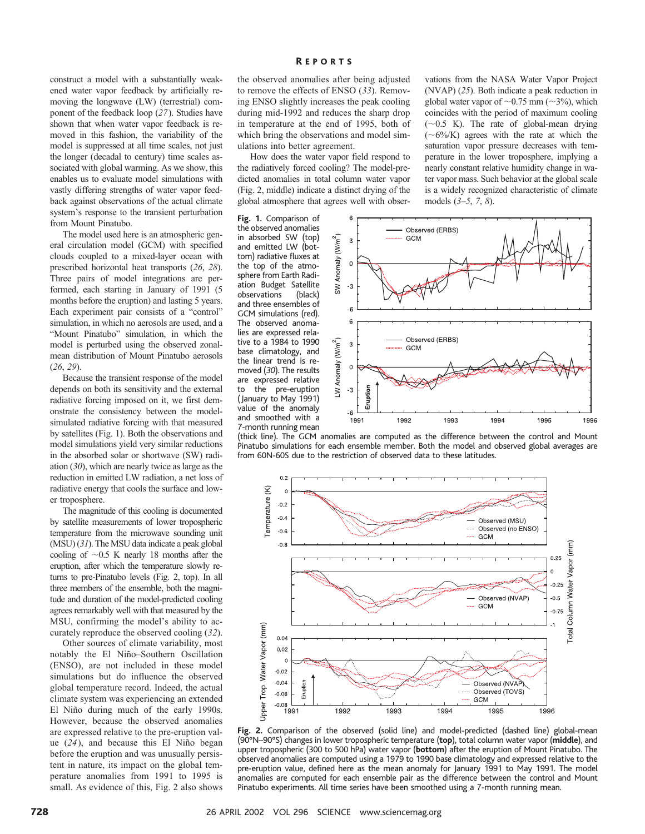construct a model with a substantially weakened water vapor feedback by artificially removing the longwave (LW) (terrestrial) component of the feedback loop (*27*). Studies have shown that when water vapor feedback is removed in this fashion, the variability of the model is suppressed at all time scales, not just the longer (decadal to century) time scales associated with global warming. As we show, this enables us to evaluate model simulations with vastly differing strengths of water vapor feedback against observations of the actual climate system's response to the transient perturbation from Mount Pinatubo.

The model used here is an atmospheric general circulation model (GCM) with specified clouds coupled to a mixed-layer ocean with prescribed horizontal heat transports (*26*, *28*). Three pairs of model integrations are performed, each starting in January of 1991 (5 months before the eruption) and lasting 5 years. Each experiment pair consists of a "control" simulation, in which no aerosols are used, and a "Mount Pinatubo" simulation, in which the model is perturbed using the observed zonalmean distribution of Mount Pinatubo aerosols (*26*, *29*).

Because the transient response of the model depends on both its sensitivity and the external radiative forcing imposed on it, we first demonstrate the consistency between the modelsimulated radiative forcing with that measured by satellites (Fig. 1). Both the observations and model simulations yield very similar reductions in the absorbed solar or shortwave (SW) radiation (*30*), which are nearly twice as large as the reduction in emitted LW radiation, a net loss of radiative energy that cools the surface and lower troposphere.

The magnitude of this cooling is documented by satellite measurements of lower tropospheric temperature from the microwave sounding unit (MSU) (*31*). The MSU data indicate a peak global cooling of  $~0.5$  K nearly 18 months after the eruption, after which the temperature slowly returns to pre-Pinatubo levels (Fig. 2, top). In all three members of the ensemble, both the magnitude and duration of the model-predicted cooling agrees remarkably well with that measured by the MSU, confirming the model's ability to accurately reproduce the observed cooling (*32*).

Other sources of climate variability, most notably the El Niño-Southern Oscillation (ENSO), are not included in these model simulations but do influence the observed global temperature record. Indeed, the actual climate system was experiencing an extended El Niño during much of the early 1990s. However, because the observed anomalies are expressed relative to the pre-eruption value  $(24)$ , and because this El Niño began before the eruption and was unusually persistent in nature, its impact on the global temperature anomalies from 1991 to 1995 is small. As evidence of this, Fig. 2 also shows

the observed anomalies after being adjusted to remove the effects of ENSO (*33*). Removing ENSO slightly increases the peak cooling during mid-1992 and reduces the sharp drop in temperature at the end of 1995, both of which bring the observations and model simulations into better agreement.

How does the water vapor field respond to the radiatively forced cooling? The model-predicted anomalies in total column water vapor (Fig. 2, middle) indicate a distinct drying of the global atmosphere that agrees well with obser-

**Fig. 1.** Comparison of the observed anomalies in absorbed SW (top) and emitted LW (bottom) radiative fluxes at the top of the atmosphere from Earth Radiation Budget Satellite<br>observations (black) observations and three ensembles of GCM simulations (red). The observed anomalies are expressed relative to a 1984 to 1990 base climatology, and the linear trend is removed (*30*). The results are expressed relative to the pre-eruption (January to May 1991) value of the anomaly and smoothed with a 7-month running mean

vations from the NASA Water Vapor Project (NVAP) (*25*). Both indicate a peak reduction in global water vapor of  $\sim 0.75$  mm ( $\sim 3\%$ ), which coincides with the period of maximum cooling  $(\sim 0.5$  K). The rate of global-mean drying  $(-6\%/K)$  agrees with the rate at which the saturation vapor pressure decreases with temperature in the lower troposphere, implying a nearly constant relative humidity change in water vapor mass. Such behavior at the global scale is a widely recognized characteristic of climate models (*3*–*5*, *7*, *8*).



(thick line). The GCM anomalies are computed as the difference between the control and Mount Pinatubo simulations for each ensemble member. Both the model and observed global averages are from 60N-60S due to the restriction of observed data to these latitudes.



**Fig. 2.** Comparison of the observed (solid line) and model-predicted (dashed line) global-mean (90°N–90°S) changes in lower tropospheric temperature (**top**), total column water vapor (**middle**), and upper tropospheric (300 to 500 hPa) water vapor (**bottom**) after the eruption of Mount Pinatubo. The observed anomalies are computed using a 1979 to 1990 base climatology and expressed relative to the pre-eruption value, defined here as the mean anomaly for January 1991 to May 1991. The model anomalies are computed for each ensemble pair as the difference between the control and Mount Pinatubo experiments. All time series have been smoothed using a 7-month running mean.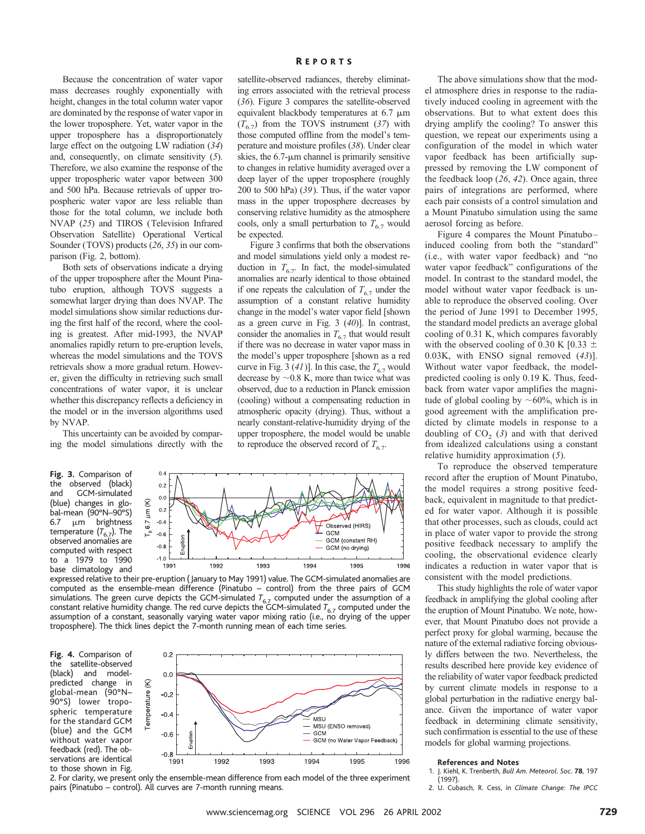Because the concentration of water vapor mass decreases roughly exponentially with height, changes in the total column water vapor are dominated by the response of water vapor in the lower troposphere. Yet, water vapor in the upper troposphere has a disproportionately large effect on the outgoing LW radiation (*34*) and, consequently, on climate sensitivity (*5*). Therefore, we also examine the response of the upper tropospheric water vapor between 300 and 500 hPa. Because retrievals of upper tropospheric water vapor are less reliable than those for the total column, we include both NVAP (*25*) and TIROS (Television Infrared Observation Satellite) Operational Vertical Sounder (TOVS) products (*26*, *35*) in our comparison (Fig. 2, bottom).

Both sets of observations indicate a drying of the upper troposphere after the Mount Pinatubo eruption, although TOVS suggests a somewhat larger drying than does NVAP. The model simulations show similar reductions during the first half of the record, where the cooling is greatest. After mid-1993, the NVAP anomalies rapidly return to pre-eruption levels, whereas the model simulations and the TOVS retrievals show a more gradual return. However, given the difficulty in retrieving such small concentrations of water vapor, it is unclear whether this discrepancy reflects a deficiency in the model or in the inversion algorithms used by NVAP.

This uncertainty can be avoided by comparing the model simulations directly with the

 $\mu$ m  $(K)$ 

 $T_{h}$ 6.7

**Fig. 3.** Comparison of the observed (black) and GCM-simulated (blue) changes in global-mean (90°N-90°S) 6.7  $\mu$ m brightness temperature  $(T_{6.7})$ . The observed anomalies are computed with respect to a 1979 to 1990 base climatology and



expressed relative to their pre-eruption (January to May 1991) value. The GCM-simulated anomalies are computed as the ensemble-mean difference (Pinatubo – control) from the three pairs of GCM simulations. The green curve depicts the GCM-simulated *T*6.7 computed under the assumption of a constant relative humidity change. The red curve depicts the GCM-simulated  $T_{6,7}$  computed under the assumption of a constant, seasonally varying water vapor mixing ratio (i.e., no drying of the upper troposphere). The thick lines depict the 7-month running mean of each time series.

**Fig. 4.** Comparison of the satellite-observed (black) and modelpredicted change in global-mean (90°N-90°S) lower tropospheric temperature for the standard GCM (blue) and the GCM without water vapor feedback (red). The observations are identical to those shown in Fig.



2. For clarity, we present only the ensemble-mean difference from each model of the three experiment pairs (Pinatubo – control). All curves are 7-month running means.

satellite-observed radiances, thereby eliminating errors associated with the retrieval process (*36*). Figure 3 compares the satellite-observed equivalent blackbody temperatures at  $6.7 \mu m$  $(T_{67})$  from the TOVS instrument (37) with those computed offline from the model's temperature and moisture profiles (*38*). Under clear skies, the  $6.7$ - $\mu$ m channel is primarily sensitive to changes in relative humidity averaged over a deep layer of the upper troposphere (roughly 200 to 500 hPa) (*39*). Thus, if the water vapor mass in the upper troposphere decreases by conserving relative humidity as the atmosphere cools, only a small perturbation to  $T_{6.7}$  would be expected.

Figure 3 confirms that both the observations and model simulations yield only a modest reduction in  $T_{6.7}$ . In fact, the model-simulated anomalies are nearly identical to those obtained if one repeats the calculation of  $T_{6.7}$  under the assumption of a constant relative humidity change in the model's water vapor field [shown as a green curve in Fig. 3 (*40*)]. In contrast, consider the anomalies in  $T_{6.7}$  that would result if there was no decrease in water vapor mass in the model's upper troposphere [shown as a red curve in Fig. 3 (41)]. In this case, the  $T_{67}$  would decrease by  $\sim$ 0.8 K, more than twice what was observed, due to a reduction in Planck emission (cooling) without a compensating reduction in atmospheric opacity (drying). Thus, without a nearly constant-relative-humidity drying of the upper troposphere, the model would be unable to reproduce the observed record of  $T_{6.7}$ .

The above simulations show that the model atmosphere dries in response to the radiatively induced cooling in agreement with the observations. But to what extent does this drying amplify the cooling? To answer this question, we repeat our experiments using a configuration of the model in which water vapor feedback has been artificially suppressed by removing the LW component of the feedback loop (*26*, *42*). Once again, three pairs of integrations are performed, where each pair consists of a control simulation and a Mount Pinatubo simulation using the same aerosol forcing as before.

Figure 4 compares the Mount Pinatubo– induced cooling from both the "standard" (i.e., with water vapor feedback) and "no water vapor feedback" configurations of the model. In contrast to the standard model, the model without water vapor feedback is unable to reproduce the observed cooling. Over the period of June 1991 to December 1995, the standard model predicts an average global cooling of 0.31 K, which compares favorably with the observed cooling of 0.30 K [0.33  $\pm$ 0.03K, with ENSO signal removed (*43*)]. Without water vapor feedback, the modelpredicted cooling is only 0.19 K. Thus, feedback from water vapor amplifies the magnitude of global cooling by  $\sim 60\%$ , which is in good agreement with the amplification predicted by climate models in response to a doubling of  $CO<sub>2</sub>(3)$  and with that derived from idealized calculations using a constant relative humidity approximation (*5*).

To reproduce the observed temperature record after the eruption of Mount Pinatubo, the model requires a strong positive feedback, equivalent in magnitude to that predicted for water vapor. Although it is possible that other processes, such as clouds, could act in place of water vapor to provide the strong positive feedback necessary to amplify the cooling, the observational evidence clearly indicates a reduction in water vapor that is consistent with the model predictions.

This study highlights the role of water vapor feedback in amplifying the global cooling after the eruption of Mount Pinatubo. We note, however, that Mount Pinatubo does not provide a perfect proxy for global warming, because the nature of the external radiative forcing obviously differs between the two. Nevertheless, the results described here provide key evidence of the reliability of water vapor feedback predicted by current climate models in response to a global perturbation in the radiative energy balance. Given the importance of water vapor feedback in determining climate sensitivity, such confirmation is essential to the use of these models for global warming projections.

### **References and Notes**

- 1. J. Kiehl, K. Trenberth, *Bull Am*. *Meteorol*. *Soc*. **78**, 197 (1997).
- 2. U. Cubasch, R. Cess, in *Climate Change: The IPCC*